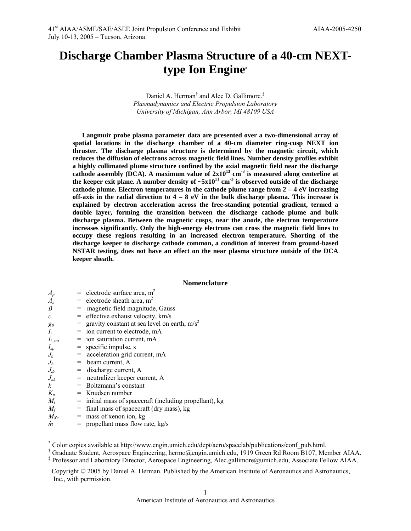# **Discharge Chamber Plasma Structure of a 40-cm NEXTtype Ion Engin[e\\*](#page-0-0)**

Daniel A. Herman<sup>[†](#page-0-1)</sup> and Alec D. Gallimore.<sup>[‡](#page-0-2)</sup> *Plasmadynamics and Electric Propulsion Laboratory University of Michigan, Ann Arbor, MI 48109 USA* 

**Langmuir probe plasma parameter data are presented over a two-dimensional array of spatial locations in the discharge chamber of a 40-cm diameter ring-cusp NEXT ion thruster. The discharge plasma structure is determined by the magnetic circuit, which reduces the diffusion of electrons across magnetic field lines. Number density profiles exhibit a highly collimated plume structure confined by the axial magnetic field near the discharge**  cathode assembly (DCA). A maximum value of  $2x10^{13}$  cm<sup>-3</sup> is measured along centerline at the keeper exit plane. A number density of  $-5x10^{11}$  cm<sup>-3</sup> is observed outside of the discharge **cathode plume. Electron temperatures in the cathode plume range from 2 – 4 eV increasing off-axis in the radial direction to 4 – 8 eV in the bulk discharge plasma. This increase is explained by electron acceleration across the free-standing potential gradient, termed a double layer, forming the transition between the discharge cathode plume and bulk discharge plasma. Between the magnetic cusps, near the anode, the electron temperature increases significantly. Only the high-energy electrons can cross the magnetic field lines to occupy these regions resulting in an increased electron temperature. Shorting of the discharge keeper to discharge cathode common, a condition of interest from ground-based NSTAR testing, does not have an effect on the near plasma structure outside of the DCA keeper sheath.** 

#### **Nomenclature**

| $A_p$            | $=$ electrode surface area, m <sup>2</sup>                |
|------------------|-----------------------------------------------------------|
| $A_{s}$          | $=$ electrode sheath area, m <sup>2</sup>                 |
| B                | = magnetic field magnitude, Gauss                         |
| $\mathcal{C}$    | $=$ effective exhaust velocity, km/s                      |
| $g_0$            | = gravity constant at sea level on earth, $m/s^2$         |
| $I_i$            | $=$ ion current to electrode, mA                          |
| $I_{i, sat}$     | $=$ ion saturation current, mA                            |
| $I_{sp}$         | $=$ specific impulse, s                                   |
| $J_a$            | $=$ acceleration grid current, mA                         |
| $J_h$            | $=$ beam current, A                                       |
| $J_{dc}$         | $=$ discharge current, A                                  |
| $J_{nk}$         | $=$ neutralizer keeper current, A                         |
| $\boldsymbol{k}$ | $=$ Boltzmann's constant                                  |
| $K_n$            | $=$ Knudsen number                                        |
| $M_i$            | $=$ initial mass of spacecraft (including propellant), kg |
| $M_f$            | $=$ final mass of spacecraft (dry mass), kg               |
| $M_{Xe}$         | $=$ mass of xenon ion, kg                                 |
| $\boldsymbol{m}$ | $=$ propellant mass flow rate, kg/s                       |
|                  |                                                           |

<span id="page-0-0"></span> <sup>\*</sup> Color copies available at http://www.engin.umich.edu/dept/aero/spacelab/publications/conf\_pub.html.

<span id="page-0-1"></span><sup>&</sup>lt;sup>†</sup> Graduate Student, Aerospace Engineering, hermo@engin.umich.edu, 1919 Green Rd Room B107, Member AIAA.

<span id="page-0-2"></span>Professor and Laboratory Director, Aerospace Engineering, Alec.gallimore@umich.edu, Associate Fellow AIAA.

Copyright © 2005 by Daniel A. Herman. Published by the American Institute of Aeronautics and Astronautics, Inc., with permission.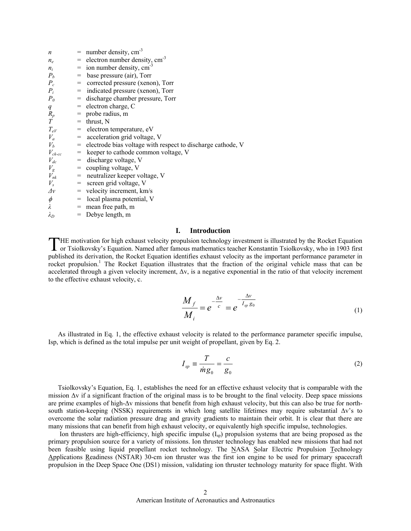| $\boldsymbol{n}$                                                                                                                        |                   | $=$ number density, cm <sup>-3</sup>                            |
|-----------------------------------------------------------------------------------------------------------------------------------------|-------------------|-----------------------------------------------------------------|
| $n_e$                                                                                                                                   |                   | $=$ electron number density, cm <sup>-3</sup>                   |
| $n_i$                                                                                                                                   |                   | $=$ ion number density, cm <sup>-3</sup>                        |
| $P_b$                                                                                                                                   | $=$               | base pressure (air), Torr                                       |
| $P_c$                                                                                                                                   | $=$               | corrected pressure (xenon), Torr                                |
| $P_i$                                                                                                                                   |                   | $=$ indicated pressure (xenon), Torr                            |
| $P_{0}$                                                                                                                                 | $=$               | discharge chamber pressure, Torr                                |
| q                                                                                                                                       |                   | $=$ electron charge, C                                          |
| $R_p$                                                                                                                                   |                   | $=$ probe radius, m                                             |
| T                                                                                                                                       |                   | $=$ thrust, N                                                   |
| $T_{eV}$                                                                                                                                | $=$               | electron temperature, eV                                        |
| $V_a$                                                                                                                                   |                   | $=$ acceleration grid voltage, V                                |
| $V_b$                                                                                                                                   |                   | $=$ electrode bias voltage with respect to discharge cathode, V |
| $V_{ck-cc}$<br>$\begin{array}{c} \begin{array}{c} \begin{array}{c} \end{array} \\ \begin{array}{c} \end{array} \end{array} \end{array}$ |                   | keeper to cathode common voltage, V                             |
| $V_{dc}$                                                                                                                                | $=$               | discharge voltage, V                                            |
| $V_{\rm g}$                                                                                                                             | $=$               | coupling voltage, V                                             |
| $V_{nk}$                                                                                                                                | $\!\!\!=\!\!\!\!$ | neutralizer keeper voltage, V                                   |
| $V_{s}$                                                                                                                                 |                   | $=$ screen grid voltage, V                                      |
| $\Delta v$                                                                                                                              |                   | $=$ velocity increment, km/s                                    |
| $\phi$                                                                                                                                  | $=$               | local plasma potential, V                                       |
| λ                                                                                                                                       | $=$               | mean free path, m                                               |
| $\lambda_D$                                                                                                                             |                   | $=$ Debye length, m                                             |

## **I. Introduction**

THE motivation for high exhaust velocity propulsion technology investment is illustrated by the Rocket Equation<br>
Tor Tsiolkovsky's Equation. Named after famous mathematics teacher Konstantin Tsiolkovsky, who in 1903 first or Tsiolkovsky's Equation. Named after famous mathematics teacher Konstantin Tsiolkovsky, who in 1903 first published its derivation, the Rocket Equation identifies exhaust velocity as the important performance parameter in rocket propulsion.<sup>1</sup> The Rocket Equation illustrates that the fraction of the original vehicle mass that can be accelerated through a given velocity increment, ∆v, is a negative exponential in the ratio of that velocity increment to the effective exhaust velocity, c.

<span id="page-1-0"></span>
$$
\frac{M_f}{M_i} = e^{-\frac{\Delta v}{c}} = e^{-\frac{\Delta v}{I_{sp}g_0}}
$$
\n(1)

As illustrated in Eq. [1,](#page-1-0) the effective exhaust velocity is related to the performance parameter specific impulse, Isp, which is defined as the total impulse per unit weight of propellant, given by Eq. [2.](#page-1-1) 

<span id="page-1-1"></span>
$$
I_{sp} \equiv \frac{T}{mg_0} = \frac{c}{g_0} \tag{2}
$$

Tsiolkovsky's Equation, Eq. [1,](#page-1-0) establishes the need for an effective exhaust velocity that is comparable with the mission ∆v if a significant fraction of the original mass is to be brought to the final velocity. Deep space missions are prime examples of high-∆v missions that benefit from high exhaust velocity, but this can also be true for northsouth station-keeping (NSSK) requirements in which long satellite lifetimes may require substantial ∆v's to overcome the solar radiation pressure drag and gravity gradients to maintain their orbit. It is clear that there are many missions that can benefit from high exhaust velocity, or equivalently high specific impulse, technologies.

Ion thrusters are high-efficiency, high specific impulse  $(I_{sp})$  propulsion systems that are being proposed as the primary propulsion source for a variety of missions. Ion thruster technology has enabled new missions that had not been feasible using liquid propellant rocket technology. The NASA Solar Electric Propulsion Technology Applications Readiness (NSTAR) 30-cm ion thruster was the first ion engine to be used for primary spacecraft propulsion in the Deep Space One (DS1) mission, validating ion thruster technology maturity for space flight. With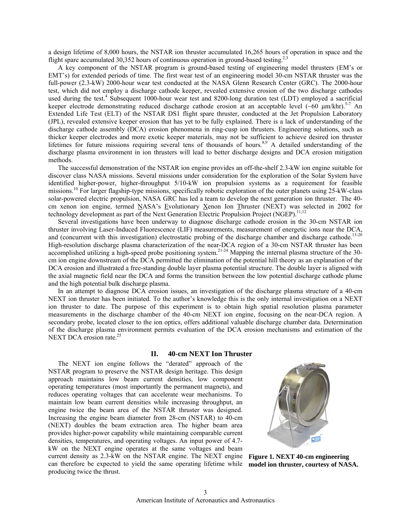a design lifetime of 8,000 hours, the NSTAR ion thruster accumulated 16,265 hours of operation in space and the flight spare accumulated 30,352 hours of continuous operation in ground-based testing.<sup>2,3</sup>

A key component of the NSTAR program is ground-based testing of engineering model thrusters (EM's or EMT's) for extended periods of time. The first wear test of an engineering model 30-cm NSTAR thruster was the full-power (2.3-kW) 2000-hour wear test conducted at the NASA Glenn Research Center (GRC). The 2000-hour test, which did not employ a discharge cathode keeper, revealed extensive erosion of the two discharge cathodes used during the test.<sup>4</sup> Subsequent 1000-hour wear test and 8200-long duration test (LDT) employed a sacrificial keeper electrode demonstrating reduced discharge cathode erosion at an acceptable level  $(-60 \mu m/khr)$ .<sup>5-7</sup> An Extended Life Test (ELT) of the NSTAR DS1 flight spare thruster, conducted at the Jet Propulsion Laboratory (JPL), revealed extensive keeper erosion that has yet to be fully explained. There is a lack of understanding of the discharge cathode assembly (DCA) erosion phenomena in ring-cusp ion thrusters. Engineering solutions, such as thicker keeper electrodes and more exotic keeper materials, may not be sufficient to achieve desired ion thruster lifetimes for future missions requiring several tens of thousands of hours.<sup>8,9</sup> A detailed understanding of the discharge plasma environment in ion thrusters will lead to better discharge designs and DCA erosion mitigation methods.

The successful demonstration of the NSTAR ion engine provides an off-the-shelf 2.3-kW ion engine suitable for discover class NASA missions. Several missions under consideration for the exploration of the Solar System have identified higher-power, higher-throughput 5/10-kW ion propulsion systems as a requirement for feasible missions.10 For larger flagship-type missions, specifically robotic exploration of the outer planets using 25-kW-class solar-powered electric propulsion, NASA GRC has led a team to develop the next generation ion thruster. The 40 cm xenon ion engine, termed NASA's Evolutionary Xenon Ion Thruster (NEXT) was selected in 2002 for technology development as part of the Next Generation Electric Propulsion Project (NGEP).<sup>11,12</sup>

Several investigations have been underway to diagnose discharge cathode erosion in the 30-cm NSTAR ion thruster involving Laser-Induced Fluorescence (LIF) measurements, measurement of energetic ions near the DCA, and (concurrent with this investigation) electrostatic probing of the discharge chamber and discharge cathode.<sup>13-20</sup> High-resolution discharge plasma characterization of the near-DCA region of a 30-cm NSTAR thruster has been accomplished utilizing a high-speed probe positioning system.<sup>21-24</sup> Mapping the internal plasma structure of the 30cm ion engine downstream of the DCA permitted the elimination of the potential hill theory as an explanation of the DCA erosion and illustrated a free-standing double layer plasma potential structure. The double layer is aligned with the axial magnetic field near the DCA and forms the transition between the low potential discharge cathode plume and the high potential bulk discharge plasma.

In an attempt to diagnose DCA erosion issues, an investigation of the discharge plasma structure of a 40-cm NEXT ion thruster has been initiated. To the author's knowledge this is the only internal investigation on a NEXT ion thruster to date. The purpose of this experiment is to obtain high spatial resolution plasma parameter measurements in the discharge chamber of the 40-cm NEXT ion engine, focusing on the near-DCA region. A secondary probe, located closer to the ion optics, offers additional valuable discharge chamber data. Determination of the discharge plasma environment permits evaluation of the DCA erosion mechanisms and estimation of the NEXT DCA erosion rate. $25$ 

## **II. 40-cm NEXT Ion Thruster**

The NEXT ion engine follows the "derated" approach of the NSTAR program to preserve the NSTAR design heritage. This design approach maintains low beam current densities, low component operating temperatures (most importantly the permanent magnets), and reduces operating voltages that can accelerate wear mechanisms. To maintain low beam current densities while increasing throughput, an engine twice the beam area of the NSTAR thruster was designed. Increasing the engine beam diameter from 28-cm (NSTAR) to 40-cm (NEXT) doubles the beam extraction area. The higher beam area provides higher-power capability while maintaining comparable current densities, temperatures, and operating voltages. An input power of 4.7 kW on the NEXT engine operates at the same voltages and beam current density as 2.3-kW on the NSTAR engine. The NEXT engine can therefore be expected to yield the same operating lifetime while **model ion thruster, courtesy of NASA.**

producing twice the thrust.



**Figure 1. NEXT 40-cm engineering**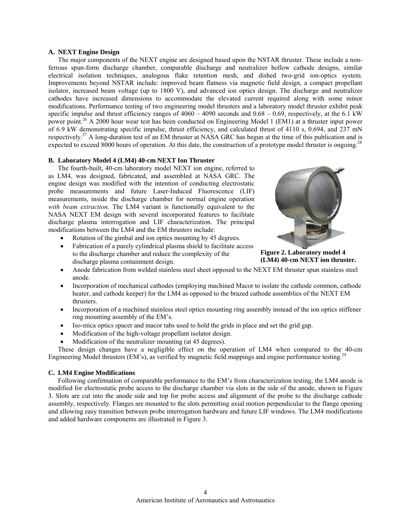## **A. NEXT Engine Design**

The major components of the NEXT engine are designed based upon the NSTAR thruster. These include a nonferrous spun-form discharge chamber, comparable discharge and neutralizer hollow cathode designs, similar electrical isolation techniques, analogous flake retention mesh, and dished two-grid ion-optics system. Improvements beyond NSTAR include: improved beam flatness via magnetic field design, a compact propellant isolator, increased beam voltage (up to 1800 V), and advanced ion optics design. The discharge and neutralizer cathodes have increased dimensions to accommodate the elevated current required along with some minor modifications. Performance testing of two engineering model thrusters and a laboratory model thruster exhibit peak specific impulse and thrust efficiency ranges of  $4060 - 4090$  seconds and  $0.68 - 0.69$ , respectively, at the 6.1 kW power point.26 A 2000 hour wear test has been conducted on Engineering Model 1 (EM1) at a thruster input power of 6.9 kW demonstrating specific impulse, thrust efficiency, and calculated thrust of 4110 s, 0.694, and 237 mN respectively.<sup>27</sup> A long-duration test of an EM thruster at NASA GRC has begun at the time of this publication and is expected to exceed 8000 hours of operation. At this date, the construction of a prototype model thruster is ongoing.<sup>28</sup>

## **B. Laboratory Model 4 (LM4) 40-cm NEXT Ion Thruster**

The fourth-built, 40-cm laboratory model NEXT ion engine, referred to as LM4, was designed, fabricated, and assembled at NASA GRC. The engine design was modified with the intention of conducting electrostatic probe measurements and future Laser-Induced Fluorescence (LIF) measurements, inside the discharge chamber for normal engine operation *with beam extraction*. The LM4 variant is functionally equivalent to the NASA NEXT EM design with several incorporated features to facilitate discharge plasma interrogation and LIF characterization. The principal modifications between the LM4 and the EM thrusters include:

- Rotation of the gimbal and ion optics mounting by 45 degrees.
- Fabrication of a purely cylindrical plasma shield to facilitate access to the discharge chamber and reduce the complexity of the discharge plasma containment design.



**Figure 2. Laboratory model 4 (LM4) 40-cm NEXT ion thruster.**

- Anode fabrication from welded stainless steel sheet opposed to the NEXT EM thruster spun stainless steel anode.
- Incorporation of mechanical cathodes (employing machined Macor to isolate the cathode common, cathode heater, and cathode keeper) for the LM4 as opposed to the brazed cathode assemblies of the NEXT EM thrusters.
- Incorporation of a machined stainless steel optics mounting ring assembly instead of the ion optics stiffener ring mounting assembly of the EM's.
- Iso-mica optics spacer and macor tabs used to hold the grids in place and set the grid gap.
- Modification of the high-voltage propellant isolator design.
- Modification of the neutralizer mounting (at 45 degrees).

These design changes have a negligible effect on the operation of LM4 when compared to the 40-cm Engineering Model thrusters (EM's), as verified by magnetic field mappings and engine performance testing.<sup>29</sup>

# **C. LM4 Engine Modifications**

Following confirmation of comparable performance to the EM's from characterization testing, the LM4 anode is modified for electrostatic probe access to the discharge chamber via slots in the side of the anode, shown in [Figure](#page-6-0) [3.](#page-6-0) Slots are cut into the anode side and top for probe access and alignment of the probe to the discharge cathode assembly, respectively. Flanges are mounted to the slots permitting axial motion perpendicular to the flange opening and allowing easy transition between probe interrogation hardware and future LIF windows. The LM4 modifications and added hardware components are illustrated in [Figure 3.](#page-6-0)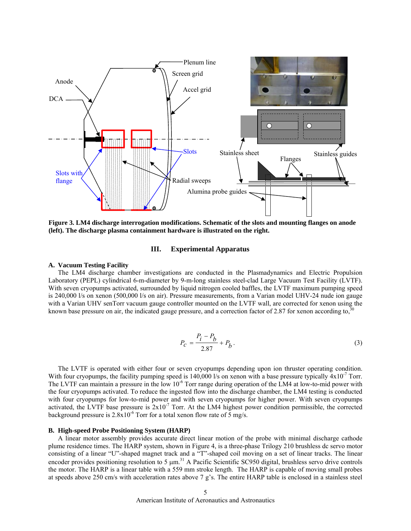

**Figure 3. LM4 discharge interrogation modifications. Schematic of the slots and mounting flanges on anode (left). The discharge plasma containment hardware is illustrated on the right.** 

## **III. Experimental Apparatus**

#### **A. Vacuum Testing Facility**

The LM4 discharge chamber investigations are conducted in the Plasmadynamics and Electric Propulsion Laboratory (PEPL) cylindrical 6-m-diameter by 9-m-long stainless steel-clad Large Vacuum Test Facility (LVTF). With seven cryopumps activated, surrounded by liquid nitrogen cooled baffles, the LVTF maximum pumping speed is 240,000 l/s on xenon (500,000 l/s on air). Pressure measurements, from a Varian model UHV-24 nude ion gauge with a Varian UHV senTorr vacuum gauge controller mounted on the LVTF wall, are corrected for xenon using the known base pressure on air, the indicated gauge pressure, and a correction factor of 2.87 for xenon according to,  $30$ 

$$
P_c = \frac{P_i - P_b}{2.87} + P_b.
$$
 (3)

The LVTF is operated with either four or seven cryopumps depending upon ion thruster operating condition. With four cryopumps, the facility pumping speed is 140,000 l/s on xenon with a base pressure typically  $4x10^{-7}$  Torr. The LVTF can maintain a pressure in the low  $10^{-6}$  Torr range during operation of the LM4 at low-to-mid power with the four cryopumps activated. To reduce the ingested flow into the discharge chamber, the LM4 testing is conducted with four cryopumps for low-to-mid power and with seven cryopumps for higher power. With seven cryopumps activated, the LVTF base pressure is  $2x10^{-7}$  Torr. At the LM4 highest power condition permissible, the corrected background pressure is  $2.8x10^{-6}$  Torr for a total xenon flow rate of 5 mg/s.

## **B. High-speed Probe Positioning System (HARP)**

A linear motor assembly provides accurate direct linear motion of the probe with minimal discharge cathode plume residence times. The HARP system, shown in [Figure 4,](#page-6-0) is a three-phase Trilogy 210 brushless dc servo motor consisting of a linear "U"-shaped magnet track and a "T"-shaped coil moving on a set of linear tracks. The linear encoder provides positioning resolution to 5  $\mu$ m.<sup>31</sup> A Pacific Scientific SC950 digital, brushless servo drive controls the motor. The HARP is a linear table with a 559 mm stroke length. The HARP is capable of moving small probes at speeds above 250 cm/s with acceleration rates above 7 g's. The entire HARP table is enclosed in a stainless steel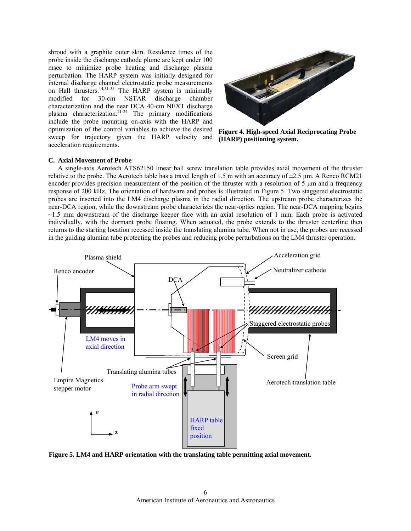shroud with a graphite outer skin. Residence times of the probe inside the discharge cathode plume are kept under 100 msec to minimize probe heating and discharge plasma perturbation. The HARP system was initially designed for internal discharge channel electrostatic probe measurements on Hall thrusters.<sup>14,31-35</sup> The HARP system is minimally modified for 30-cm NSTAR discharge chamber characterization and the near DCA 40-cm NEXT discharge plasma characterization.<sup>21-24</sup> The primary modifications include the probe mounting on-axis with the HARP and optimization of the control variables to achieve the desired sweep for trajectory given the HARP velocity and acceleration requirements.



**Figure 4. High-speed Axial Reciprocating Probe (HARP) positioning system.**

## **C. Axial Movement of Probe**

A single-axis Aerotech ATS62150 linear ball screw translation table provides axial movement of the thruster relative to the probe. The Aerotech table has a travel length of 1.5 m with an accuracy of  $\pm$ 2.5 µm. A Renco RCM21 encoder provides precision measurement of the position of the thruster with a resolution of  $5 \mu m$  and a frequency response of 200 kHz. The orientation of hardware and probes is illustrated in [Figure 5.](#page-6-0) Two staggered electrostatic probes are inserted into the LM4 discharge plasma in the radial direction. The upstream probe characterizes the near-DCA region, while the downstream probe characterizes the near-optics region. The near-DCA mapping begins  $\sim$ 1.5 mm downstream of the discharge keeper face with an axial resolution of 1 mm. Each probe is activated individually, with the dormant probe floating. When actuated, the probe extends to the thruster centerline then returns to the starting location recessed inside the translating alumina tube. When not in use, the probes are recessed in the guiding alumina tube protecting the probes and reducing probe perturbations on the LM4 thruster operation.



**Figure 5. LM4 and HARP orientation with the translating table permitting axial movement.**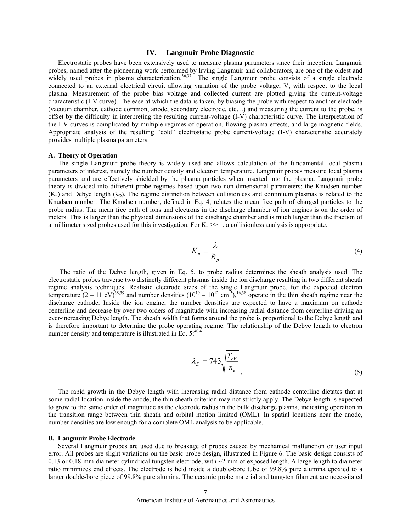#### **IV. Langmuir Probe Diagnostic**

Electrostatic probes have been extensively used to measure plasma parameters since their inception. Langmuir probes, named after the pioneering work performed by Irving Langmuir and collaborators, are one of the oldest and widely used probes in plasma characterization.<sup>36,37</sup> The single Langmuir probe consists of a single electrode connected to an external electrical circuit allowing variation of the probe voltage, V, with respect to the local plasma. Measurement of the probe bias voltage and collected current are plotted giving the current-voltage characteristic (I-V curve). The ease at which the data is taken, by biasing the probe with respect to another electrode (vacuum chamber, cathode common, anode, secondary electrode, etc…) and measuring the current to the probe, is offset by the difficulty in interpreting the resulting current-voltage (I-V) characteristic curve. The interpretation of the I-V curves is complicated by multiple regimes of operation, flowing plasma effects, and large magnetic fields. Appropriate analysis of the resulting "cold" electrostatic probe current-voltage (I-V) characteristic accurately provides multiple plasma parameters.

## **A. Theory of Operation**

The single Langmuir probe theory is widely used and allows calculation of the fundamental local plasma parameters of interest, namely the number density and electron temperature. Langmuir probes measure local plasma parameters and are effectively shielded by the plasma particles when inserted into the plasma. Langmuir probe theory is divided into different probe regimes based upon two non-dimensional parameters: the Knudsen number  $(K_n)$  and Debye length ( $\lambda_D$ ). The regime distinction between collisionless and continuum plasmas is related to the Knudsen number. The Knudsen number, defined in Eq. [4,](#page-6-0) relates the mean free path of charged particles to the probe radius. The mean free path of ions and electrons in the discharge chamber of ion engines is on the order of meters. This is larger than the physical dimensions of the discharge chamber and is much larger than the fraction of a millimeter sized probes used for this investigation. For  $K_n \gg 1$ , a collisionless analysis is appropriate.

<span id="page-6-0"></span>
$$
K_n \equiv \frac{\lambda}{R_p} \tag{4}
$$

The ratio of the Debye length, given in Eq. [5,](#page-6-1) to probe radius determines the sheath analysis used. The electrostatic probes traverse two distinctly different plasmas inside the ion discharge resulting in two different sheath regime analysis techniques. Realistic electrode sizes of the single Langmuir probe, for the expected electron temperature  $(2 - 11 \text{ eV})^{38,39}$  and number densities  $(10^{10} - 10^{12} \text{ cm}^3)$ , <sup>16,38</sup> operate in the thin sheath regime near the discharge cathode. Inside the ion engine, the number densities are expected to have a maximum on cathode centerline and decrease by over two orders of magnitude with increasing radial distance from centerline driving an ever-increasing Debye length. The sheath width that forms around the probe is proportional to the Debye length and is therefore important to determine the probe operating regime. The relationship of the Debye length to electron number density and temperature is illustrated in Eq.  $5:^{40,\overline{4}1}$ 

<span id="page-6-1"></span>
$$
\lambda_D = 743 \sqrt{\frac{T_{eV}}{n_e}}
$$
\n(5)

The rapid growth in the Debye length with increasing radial distance from cathode centerline dictates that at some radial location inside the anode, the thin sheath criterion may not strictly apply. The Debye length is expected to grow to the same order of magnitude as the electrode radius in the bulk discharge plasma, indicating operation in the transition range between thin sheath and orbital motion limited (OML). In spatial locations near the anode, number densities are low enough for a complete OML analysis to be applicable.

#### **B. Langmuir Probe Electrode**

Several Langmuir probes are used due to breakage of probes caused by mechanical malfunction or user input error. All probes are slight variations on the basic probe design, illustrated in [Figure 6.](#page-8-0) The basic design consists of 0.13 or 0.18-mm-diameter cylindrical tungsten electrode, with  $\sim$ 2 mm of exposed length. A large length to diameter ratio minimizes end effects. The electrode is held inside a double-bore tube of 99.8% pure alumina epoxied to a larger double-bore piece of 99.8% pure alumina. The ceramic probe material and tungsten filament are necessitated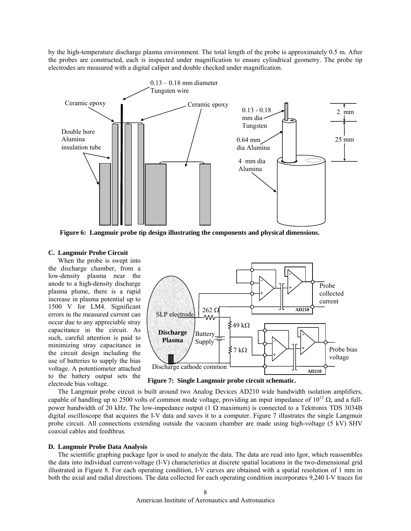by the high-temperature discharge plasma environment. The total length of the probe is approximately 0.5 m. After the probes are constructed, each is inspected under magnification to ensure cylindrical geometry. The probe tip electrodes are measured with a digital caliper and double checked under magnification.



**Figure 6: Langmuir probe tip design illustrating the components and physical dimensions.** 

## **C. Langmuir Probe Circuit**

When the probe is swept into the discharge chamber, from a low-density plasma near the anode to a high-density discharge plasma plume, there is a rapid increase in plasma potential up to 1500 V for LM4. Significant errors in the measured current can occur due to any appreciable stray capacitance in the circuit. As such, careful attention is paid to minimizing stray capacitance in the circuit design including the use of batteries to supply the bias voltage. A potentiometer attached to the battery output sets the electrode bias voltage.



**Figure 7: Single Langmuir probe circuit schematic.** 

The Langmuir probe circuit is built around two Analog Devices AD210 wide bandwidth isolation amplifiers, capable of handling up to 2500 volts of common mode voltage, providing an input impedance of  $10^{12}$   $\Omega$ , and a fullpower bandwidth of 20 kHz. The low-impedance output (1  $\Omega$  maximum) is connected to a Tektronix TDS 3034B digital oscilloscope that acquires the I-V data and saves it to a computer. [Figure 7](#page-8-0) illustrates the single Langmuir probe circuit. All connections extending outside the vacuum chamber are made using high-voltage (5 kV) SHV coaxial cables and feedthrus.

## **D. Langmuir Probe Data Analysis**

The scientific graphing package Igor is used to analyze the data. The data are read into Igor, which reassembles the data into individual current-voltage (I-V) characteristics at discrete spatial locations in the two-dimensional grid illustrated in [Figure 8.](#page-8-0) For each operating condition, I-V curves are obtained with a spatial resolution of 1 mm in both the axial and radial directions. The data collected for each operating condition incorporates 9,240 I-V traces for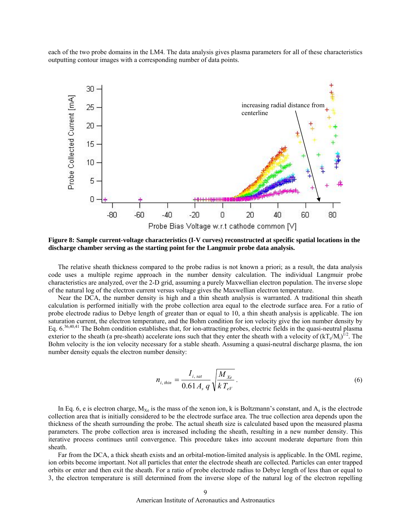each of the two probe domains in the LM4. The data analysis gives plasma parameters for all of these characteristics outputting contour images with a corresponding number of data points.



<span id="page-8-0"></span>**Figure 8: Sample current-voltage characteristics (I-V curves) reconstructed at specific spatial locations in the discharge chamber serving as the starting point for the Langmuir probe data analysis.** 

The relative sheath thickness compared to the probe radius is not known a priori; as a result, the data analysis code uses a multiple regime approach in the number density calculation. The individual Langmuir probe characteristics are analyzed, over the 2-D grid, assuming a purely Maxwellian electron population. The inverse slope of the natural log of the electron current versus voltage gives the Maxwellian electron temperature.

Near the DCA, the number density is high and a thin sheath analysis is warranted. A traditional thin sheath calculation is performed initially with the probe collection area equal to the electrode surface area. For a ratio of probe electrode radius to Debye length of greater than or equal to 10, a thin sheath analysis is applicable. The ion saturation current, the electron temperature, and the Bohm condition for ion velocity give the ion number density by Eq. [6.](#page-8-1)<sup>36,40,41</sup> The Bohm condition establishes that, for ion-attracting probes, electric fields in the quasi-neutral plasma exterior to the sheath (a pre-sheath) accelerate ions such that they enter the sheath with a velocity of  $(kT_e/M_i)^{1/2}$ . The Bohm velocity is the ion velocity necessary for a stable sheath. Assuming a quasi-neutral discharge plasma, the ion number density equals the electron number density:

<span id="page-8-1"></span>
$$
n_{i, \, thin} = \frac{I_{i, \, sat}}{0.61 A_s \, q} \sqrt{\frac{M_{\,Xe}}{k \, T_{eV}}} \,. \tag{6}
$$

In Eq. [6,](#page-8-1) e is electron charge,  $M_{Xe}$  is the mass of the xenon ion, k is Boltzmann's constant, and  $A_s$  is the electrode collection area that is initially considered to be the electrode surface area. The true collection area depends upon the thickness of the sheath surrounding the probe. The actual sheath size is calculated based upon the measured plasma parameters. The probe collection area is increased including the sheath, resulting in a new number density. This iterative process continues until convergence. This procedure takes into account moderate departure from thin sheath.

Far from the DCA, a thick sheath exists and an orbital-motion-limited analysis is applicable. In the OML regime, ion orbits become important. Not all particles that enter the electrode sheath are collected. Particles can enter trapped orbits or enter and then exit the sheath. For a ratio of probe electrode radius to Debye length of less than or equal to 3, the electron temperature is still determined from the inverse slope of the natural log of the electron repelling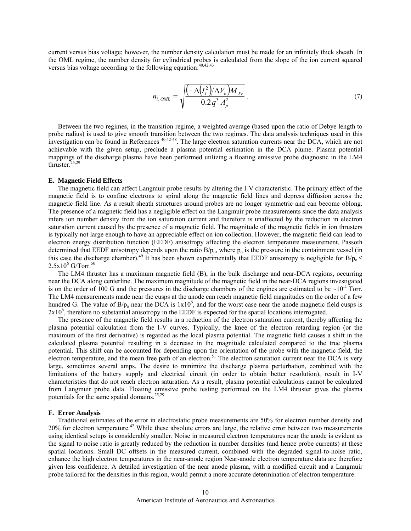current versus bias voltage; however, the number density calculation must be made for an infinitely thick sheath. In the OML regime, the number density for cylindrical probes is calculated from the slope of the ion current squared versus bias voltage according to the following equation:  $40,42,43$ 

$$
n_{i, \, \text{OML}} = \sqrt{\frac{\left(-\,\Delta \left(\Gamma_i^2\right)/\Delta V_b\right)M_{Xe}}{0.2\,q^3\,A_p^2}}\,. \tag{7}
$$

Between the two regimes, in the transition regime, a weighted average (based upon the ratio of Debye length to pro be radius) is used to give smooth transition between the two regimes. The data analysis techniques used in this investigation can be found in References<sup>40,42-48</sup>. The large electron saturation currents near the DCA, which are not achievable with the given setup, preclude a plasma potential estimation in the DCA plume. Plasma potential mappings of the discharge plasma have been performed utilizing a floating emissive probe diagnostic in the LM4 thruster.25,29

#### **E. Magnetic Field Effects**

The magnetic field can affect Langmuir probe results by altering the I-V characteristic. The primary effect of the ma gnetic field is to confine electrons to spiral along the magnetic field lines and depress diffusion across the magnetic field line. As a result sheath structures around probes are no longer symmetric and can become oblong. The presence of a magnetic field has a negligible effect on the Langmuir probe measurements since the data analysis infers ion number density from the ion saturation current and therefore is unaffected by the reduction in electron saturation current caused by the presence of a magnetic field. The magnitude of the magnetic fields in ion thrusters is typically not large enough to have an appreciable effect on ion collection. However, the magnetic field can lead to electron energy distribution function (EEDF) anisotropy affecting the electron temperature measurement. Passoth determined that EEDF anisotropy depends upon the ratio  $B/p_0$ , where  $p_0$  is the pressure in the containment vessel (in this case the discharge chamber).<sup>49</sup> It has been shown experimentally that EEDF anisotropy is negligible for B/p<sub>o</sub> ≤  $2.5x10^6$  G/Torr.<sup>50</sup>

The LM4 thruster has a maximum magnetic field (B), in the bulk discharge and near-DCA regions, occurring nea r the DCA along centerline. The maximum magnitude of the magnetic field in the near-DCA regions investigated is on the order of 100 G and the pressures in the discharge chambers of the engines are estimated to be  $\sim 10^{-4}$  Torr. The LM4 measurements made near the cusps at the anode can reach magnetic field magnitudes on the order of a few hundred G. The value of  $B/p_0$  near the DCA is  $1x10^6$ , and for the worst case near the anode magnetic field cusps is 2x10<sup>6</sup>, therefore no substantial anisotropy in the EEDF is expected for the spatial locations interrogated.

The presence of the magnetic field results in a reduction of the electron saturation current, thereby affecting the pla sma potential calculation from the I-V curves. Typically, the knee of the electron retarding region (or the maximum of the first derivative) is regarded as the local plasma potential. The magnetic field causes a shift in the calculated plasma potential resulting in a decrease in the magnitude calculated compared to the true plasma potential. This shift can be accounted for depending upon the orientation of the probe with the magnetic field, the electron temperature, and the mean free path of an electron.<sup>51</sup> The electron saturation current near the DCA is very large, sometimes several amps. The desire to minimize the discharge plasma perturbation, combined with the limitations of the battery supply and electrical circuit (in order to obtain better resolution), result in I-V characteristics that do not reach electron saturation. As a result, plasma potential calculations cannot be calculated from Langmuir probe data. Floating emissive probe testing performed on the LM4 thruster gives the plasma potentials for the same spatial domains.<sup>25,29</sup>

# **F. Error Analysis**

Traditional estimates of the error in electrostatic probe measurements are 50% for electron number density and 20% for electron temperature.<sup>42</sup> While these absolute errors are large, the relative error between two measurements probe tailored for the densities in this region, would permit a more accurate determination of electron temperature. using identical setups is considerably smaller. Noise in measured electron temperatures near the anode is evident as the signal to noise ratio is greatly reduced by the reduction in number densities (and hence probe currents) at these spatial locations. Small DC offsets in the measured current, combined with the degraded signal-to-noise ratio, enhance the high electron temperatures in the near-anode region Near-anode electron temperature data are therefore given less confidence. A detailed investigation of the near anode plasma, with a modified circuit and a Langmuir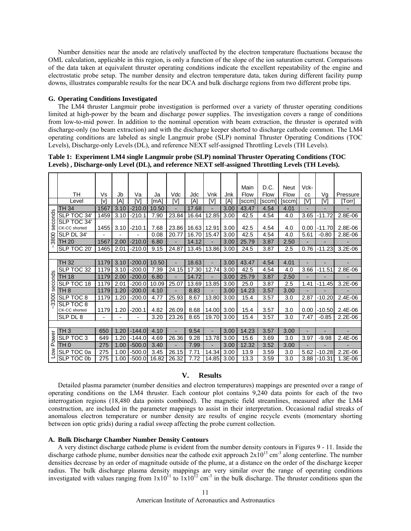Number densities near the anode are relatively unaffected by the electron temperature fluctuations because the OML calculation, applicable in this region, is only a function of the slope of the ion saturation current. Comparisons of the data taken at equivalent thruster operating conditions indicate the excellent repeatability of the engine and electrostatic probe setup. The number density and electron temperature data, taken during different facility pump downs, illustrates comparable results for the near DCA and bulk discharge regions from two different probe tips.

# **G. Operating Conditions Investigated**

The LM4 thruster Langmuir probe investigation is performed over a variety of thruster operating conditions limited at high-power by the beam and discharge power supplies. The investigation covers a range of conditions fro m low-to-mid power. In addition to the nominal operation with beam extraction, the thruster is operated with discharge-only (no beam extraction) and with the discharge keeper shorted to discharge cathode common. The LM4 operating conditions are labeled as single Langmuir probe (SLP) nominal Thruster Operating Conditions (TOC Levels), Discharge-only Levels (DL), and reference NEXT self-assigned Throttling Levels (TH Levels).

**s). Levels) , Discharge-only Level (DL), and reference NEXT self-assigned Throttling Levels (TH Level Table 1: Experiment LM4 single Langmuir probe (SLP) nominal Thruster Operating Conditions (TOC**

|                 |                 |      |      |                |       |       |       |                |      | Main   | D.C.  | Neut             | Vck- |                |                          |
|-----------------|-----------------|------|------|----------------|-------|-------|-------|----------------|------|--------|-------|------------------|------|----------------|--------------------------|
|                 | <b>TH</b>       | Vs   | Jb   | Va             | Ja    | Vdc   | Jdc   | <b>Vnk</b>     | Jnk  | Flow   | Flow  | Flow             | CC   | Vg             | Pressure                 |
|                 | Level           | [v]  | [A]  | [V]            | [mA]  | [V]   | [A]   | 'V1            | [A]  | [sccm] | [sccm | [sccm]           | [V]  | [V]            | [Torr                    |
| seconds<br>3800 | TH 34           | 1567 | 3.10 | $-210.0$       | 10.50 |       | 17.68 |                | 3.00 | 43.47  | 4.54  | 4.01             |      |                | $\overline{\phantom{a}}$ |
|                 | SLP TOC 34'     | 1459 | 3.10 | $-210.1$       | 7.90  | 23.84 | 16.64 | 12.85          | 3.00 | 42.5   | 4.54  | 4.0              | 3.65 | -11.72         | 2.8E-06                  |
|                 | SLP TOC 34'     |      |      |                |       |       |       |                |      |        |       |                  |      |                |                          |
|                 | CK-CC shorted   | 1455 | 3.10 | $-210.1$       | 7.68  | 23.86 | 16.63 | 12.91          | 3.00 | 42.5   | 4.54  | 4.0              | 0.00 | $-11.70$       | 2.8E-06                  |
|                 | SLP DL 34'      |      |      |                | 0.08  | 20.77 | 16.70 | 15.47          | 3.00 | 42.5   | 4.54  | 4.0              | 5.61 | $-0.80$        | 2.8E-06                  |
|                 | TH 20           | 1567 | 2.00 | $-210.0$       | 6.80  | ٠     | 14.12 |                | 3.00 | 25.79  | 3.87  | 2.50             |      |                |                          |
|                 | SLP TOC 20'     | 1465 | 2.01 | $-210.0$       | 9.15  | 24.87 | 13.45 | 13.86          | 3.00 | 24.5   | 3.87  | 2.5              | 0.76 | $-11.23$       | $3.2E-06$                |
|                 |                 |      |      |                |       |       |       |                |      |        |       |                  |      |                |                          |
| seconds         | <b>TH 32</b>    | 1179 | 3.10 | $-200.0$       | 10.50 | ÷     | 18.63 |                | 3.00 | 43.47  | 4.54  | 4.01             |      |                |                          |
|                 | SLP TOC 32      | 1179 | 3.10 | $-200.0$       | 7.39  | 24.15 | 17.30 | 12.74          | 3.00 | 42.5   | 4.54  | 4.0              | 3.66 | $-11.51$       | 2.8E-06                  |
|                 | <b>TH 18</b>    | 1179 | 2.00 | $-200.0$       | 6.80  | ÷     | 14.72 |                | 3.00 | 25.79  | 3.87  | 2.50             |      |                |                          |
|                 | SLP TOC 18      | 1179 | 2.01 | $-200.0$       | 10.09 | 25.07 | 13.69 | 13.85          | 3.00 | 25.0   | 3.87  | 2.5              | 1.41 | $-11.45$       | $3.2E-06$                |
|                 | TH <sub>8</sub> | 1179 | 1.20 | $-200.0$       | 4.10  | ٠     | 8.83  | $\blacksquare$ | 3.00 | 14.23  | 3.57  | 3.00             | ÷    | $\overline{a}$ |                          |
| 3300            | SLP TOC 8       | 1179 | 1.20 | $-200.0$       | 4.77  | 25.93 | 8.67  | 13.80          | 3.00 | 15.4   | 3.57  | 3.0              | 2.87 | $-10.20$       | $2.4E-06$                |
|                 | SLP TOC 8       |      |      |                |       |       |       |                |      |        |       |                  |      |                |                          |
|                 | CK-CC shorted   | 1179 | 1.20 | $-200.1$       | 4.82  | 26.09 | 8.68  | 14.00          | 3.00 | 15.4   | 3.57  | 3.0              | 0.00 | $-10.50$       | $2.4E-06$                |
|                 | SLP DL 8        |      |      | $\overline{a}$ | 3.20  | 23.26 | 8.65  | 19.70          | 3.00 | 15.4   | 3.57  | 3.0              | 7.47 | $-0.85$        | 2.2E-06                  |
|                 |                 |      |      |                |       |       |       |                |      |        |       |                  |      |                |                          |
| Power<br>š      | TH <sub>3</sub> | 650  | 1.20 | $-144.0$       | 4.10  | ÷,    | 9.54  |                | 3.00 | 14.23  | 3.57  | 3.00             |      | $\overline{a}$ | $\overline{a}$           |
|                 | SLP TOC 3       | 649  | 1.20 | $-144.0$       | 4.69  | 26.36 | 9.28  | 13.78          | 3.00 | 15.6   | 3.69  | 3.0              | 3.97 | $-9.98$        | 2.4E-06                  |
|                 | TH <sub>0</sub> | 275  | 1.00 | $-500.0$       | 3.40  |       | 7.99  |                | 3.00 | 12.32  | 3.52  | 3.00             |      |                |                          |
|                 | SLP TOC 0a      | 275  | 1.00 | $-500.0$       | 3.45  | 26.15 | 7.71  | 14.34          | 3.00 | 13.9   | 3.59  | 3.0              | 5.62 | $-10.28$       | $2.2E-06$                |
|                 | SLP TOC 0b      | 275  | 1.00 | $-500.0$       | 16.82 | 26.32 | 7.72  | 14.85 3.00     |      | 13.3   | 3.59  | $\overline{3.0}$ | 3.88 | $-10.31$       | 1.3E-06                  |

## **V. Results**

Detailed plasma parameter (number densities and electron temperatures) mappings are presented over a range of operating conditions on the LM4 thruster. Each contour plot contains 9,240 data points for each of the two inte rrogation regions (18,480 data points combined). The magnetic field streamlines, measured after the LM4 construction, are included in the parameter mappings to assist in their interpretation. Occasional radial streaks of anomalous electron temperature or number density are results of engine recycle events (momentary shorting between ion optic grids) during a radial sweep affecting the probe current collection.

# **A. Bulk Discharge Chamber Number Density Contours**

A very distinct discharge cathode plume is evident from the number density contours in Figures [9](#page-11-0) - [11.](#page-12-0) Inside the discharge cathode plume, number densities near the cathode exit approach  $2x10^{13}$  cm<sup>-3</sup> along centerline. The number den sities decrease by an order of magnitude outside of the plume, at a distance on the order of the discharge keeper radius. The bulk discharge plasma density mappings are very similar over the range of operating conditions investigated with values ranging from  $1x10^{11}$  to  $1x10^{12}$  cm<sup>-3</sup> in the bulk discharge. The thruster conditions span the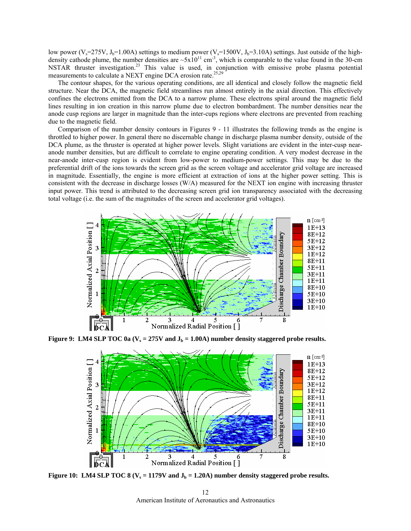low power (V<sub>s</sub>=275V, J<sub>b</sub>=1.00A) settings to medium power (V<sub>s</sub>=1500V, J<sub>b</sub>=3.10A) settings. Just outside of the highdensity cathode plume, the number densities are  $\sim 5x10^{11}$  cm<sup>-3</sup>, which is comparable to the value found in the 30-cm NSTAR thruster investigation.<sup>23</sup> This value is used, in conjunction with emissive probe plasma potential measurements to calculate a NEXT engine DCA erosion rate.<sup>25,29</sup>

The contour shapes, for the various operating conditions, are all identical and closely follow the magnetic field structure. Near the DCA, the magnetic field streamlines run almost entirely in the axial direction. This effectively con fines the electrons emitted from the DCA to a narrow plume. These electrons spiral around the magnetic field lines resulting in ion creation in this narrow plume due to electron bombardment. The number densities near the anode cusp regions are larger in magnitude than the inter-cups regions where electrons are prevented from reaching due to the magnetic field.

throttled to higher power. In general there no discernable change in discharge plasma number density, outside of the DC A plume, as the thruster is operated at higher power levels. Slight variations are evident in the inter-cusp near-Comparison of the number density contours in Figures [9](#page-11-0) - [11](#page-12-0) illustrates the following trends as the engine is anode number densities, but are difficult to correlate to engine operating condition. A very modest decrease in the near-anode inter-cusp region is evident from low-power to medium-power settings. This may be due to the preferential drift of the ions towards the screen grid as the screen voltage and accelerator grid voltage are increased in magnitude. Essentially, the engine is more efficient at extraction of ions at the higher power setting. This is consistent with the decrease in discharge losses (W/A) measured for the NEXT ion engine with increasing thruster input power. This trend is attributed to the decreasing screen grid ion transparency associated with the decreasing total voltage (i.e. the sum of the magnitudes of the screen and accelerator grid voltages).

<span id="page-11-0"></span>

**Figure 9:** LM4 SLP TOC 0a  $(V_s = 275V$  and  $J_b = 1.00A$ ) number density staggered probe results.



Figure 10: LM4 SLP TOC 8  $(V_s = 1179V$  and  $J_b = 1.20A$ ) number density staggered probe results.

American Institute of Aeronautics and Astronautics 12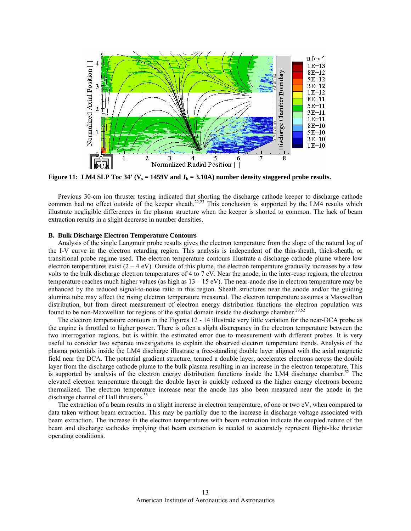<span id="page-12-0"></span>

Figure 11: LM4 SLP Toc 34' ( $V_s = 1459V$  and  $J_b = 3.10A$ ) number density staggered probe results.

Previous 30-cm ion thruster testing indicated that shorting the discharge cathode keeper to discharge cathode common had no effect outside of the keeper sheath.<sup>22,23</sup> This conclusion is supported by the LM4 results which illustrate negligible differences in the plasma structure when the keeper is shorted to common. The lack of beam extraction results in a slight decrease in number densities.

## **B. Bulk Discharge Electron Temperature Contours**

Analysis of the single Langmuir probe results gives the electron temperature from the slope of the natural log of the I-V curve in the electron retarding region. This analysis is independent of the thin-sheath, thick-sheath, or transitional probe regime used. The electron temperature contours illustrate a discharge cathode plume where low electron temperatures exist  $(2 - 4 \text{ eV})$ . Outside of this plume, the electron temperature gradually increases by a few volts to the bulk discharge electron temperatures of 4 to 7 eV. Near the anode, in the inter-cusp regions, the electron temperature reaches much higher values (as high as  $13 - 15$  eV). The near-anode rise in electron temperature may be enhanced by the reduced signal-to-noise ratio in this region. Sheath structures near the anode and/or the guiding alumina tube may affect the rising electron temperature measured. The electron temperature assumes a Maxwellian distribution, but from direct measurement of electron energy distribution functions the electron population was found to be non-Maxwellian for regions of the spatial domain inside the discharge chamber.<sup>29,52</sup>

The electron temperature contours in the Figures [12](#page-13-0) - [14](#page-13-1) illustrate very little variation for the near-DCA probe as the eng ine is throttled to higher power. There is often a slight discrepancy in the electron temperature between the field near the DCA. The potential gradient structure, termed a double layer, accelerates electrons across the double layer from the discharge cathode plume to the bulk plasma resulting in an increase in the electron temperature. This  $\frac{1}{2}$  is supported by analyzis of the electron energy distribution functions inside the LM4 discharg two interrogation regions, but is within the estimated error due to measurement with different probes. It is very useful to consider two separate investigations to explain the observed electron temperature trends. Analysis of the plasma potentials inside the LM4 discharge illustrate a free-standing double layer aligned with the axial magnetic is supported by analysis of the electron energy distribution functions inside the LM4 discharge chamber.<sup>52</sup> The elevated electron temperature through the double layer is quickly reduced as the higher energy electrons become thermalized. The electron temperature increase near the anode has also been measured near the anode in the discharge channel of Hall thrusters.<sup>53</sup>

The extraction of a beam results in a slight increase in electron temperature, of one or two eV, when compared to data taken without beam extraction. This may be partially due to the increase in discharge voltage associated with beam extraction. The increase in the electron temperatures with beam extraction indicate the coupled nature of the beam and discharge cathodes implying that beam extraction is needed to accurately represent flight-like thruster operating conditions.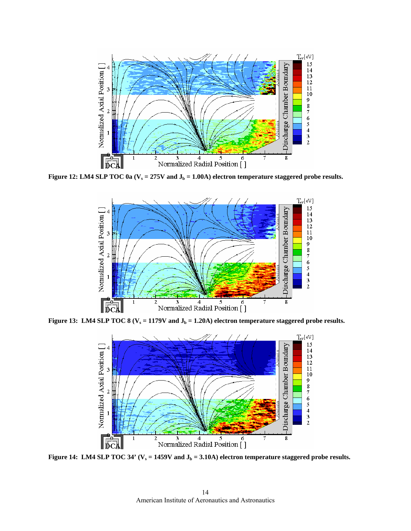<span id="page-13-0"></span>

**Figure 12: LM4 SLP TOC 0a**  $(V_s = 275V$  and  $J_b = 1.00A$ ) electron temperature staggered probe results.



<span id="page-13-1"></span>**Figure 13:** LM4 SLP TOC 8 ( $V_s = 1179V$  and  $J_b = 1.20A$ ) electron temperature staggered probe results.



**Figure 14:** LM4 SLP TOC 34' ( $V_s = 1459V$  and  $J_b = 3.10A$ ) electron temperature staggered probe results.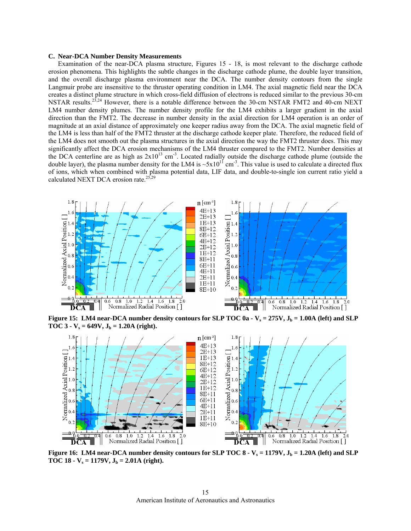#### **C. Near-DCA Number Density Measurements**

Examination of the near-DCA plasma structure, Figures [15](#page-14-0) - [18,](#page-15-0) is most relevant to the discharge cathode erosion phenomena. This highlights the subtle changes in the discharge cathode plume, the double layer transition, and the overall discharge plasma environment near the DCA. The number density contours from the single Langmuir probe are insensitive to the thruster operating condition in LM4. The axial magnetic field near the DCA creates a distinct plume structure in which cross-field diffusion of electrons is reduced similar to the previous 30-cm NSTAR results.<sup>23,24</sup> However, there is a notable difference between the 30-cm NSTAR FMT2 and 40-cm NEXT LM4 number density plumes. The number density profile for the LM4 exhibits a larger gradient in the axial direction than the FMT2. The decrease in number density in the axial direction for LM4 operation is an order of magnitude at an axial distance of approximately one keeper radius away from the DCA. The axial magnetic field of the LM4 is less than half of the FMT2 thruster at the discharge cathode keeper plate. Therefore, the reduced field of the LM4 does not smooth out the plasma structures in the axial direction the way the FMT2 thruster does. This may significantly affect the DCA erosion mechanisms of the LM4 thruster compared to the FMT2. Number densities at the DCA centerline are as high as  $2x10^{13}$  cm<sup>-3</sup>. Located radially outside the discharge cathode plume (outside the double layer), the plasma number density for the LM4 is  $\sim 5 \times 10^{11}$  cm<sup>-3</sup>. This value is used to calculate a directed flux of ions, which when combined with plasma potential data, LIF data, and double-to-single ion current ratio yield a calculated NEXT DCA erosion rate. $25,29$ 

<span id="page-14-0"></span>

**Figure 15:** LM4 near-DCA number density contours for SLP TOC  $0a - V_s = 275V$ ,  $J_b = 1.00A$  (left) and SLP TOC 3 -  $V_s = 649V$ ,  $J_b = 1.20A$  (right).

<span id="page-14-1"></span>

**Figure 16:** LM4 near-DCA number density contours for SLP TOC  $8 - V_s = 1179V$ ,  $J_b = 1.20A$  (left) and SLP TOC 18 -  $V_s = 1179V$ ,  $J_b = 2.01A$  (right).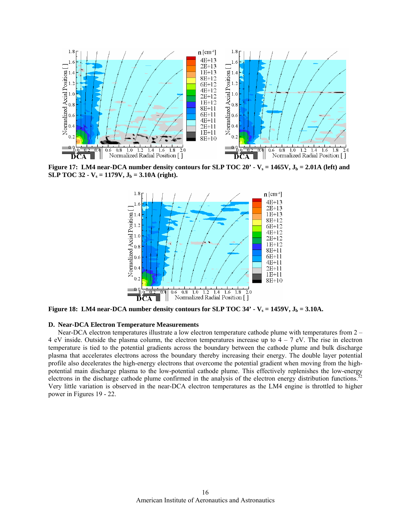<span id="page-15-1"></span>

<span id="page-15-0"></span>**SLP TOC 32 - V<sub>s</sub> = 1179V,**  $J_b$  **= 3.10A (right).** 



**Figure 18: LM4 near-DCA number density contours for SLP TOC 34' -**  $V_s = 1459V$ **,**  $J_b = 3.10A$ **.** 

#### **D.** Near-DCA Electron Temperature Measurements

Near-DCA electron temperatures illustrate a low electron temperature cathode plume with temperatures from 2 – 4 eV inside. Outside the plasma column, the electron temperatures increase up to 4 – 7 eV. The rise in electron temperature is tied to the potential gradients across the boundary between the cathode plume and bulk discharge plasma that accelerates electrons across the boundary thereby increasing their energy. The double layer potential profile also decelerates the high-energy electrons that overcome the potential gradient when moving from the highprome also decered to the low-potential cathode plume. This effectively replenishes the low-energy potential main discharge plasma to the low-potential cathode plume. This effectively replenishes the low-energy electrons in the discharge cathode plume confirmed in the analysis of the electron energy distribution functions.<sup>5</sup> Very little variation is observed in the near-DCA electron temperatures as the LM4 engine is throttled to higher power in Figures [19](#page-16-0) - [22.](#page-17-0)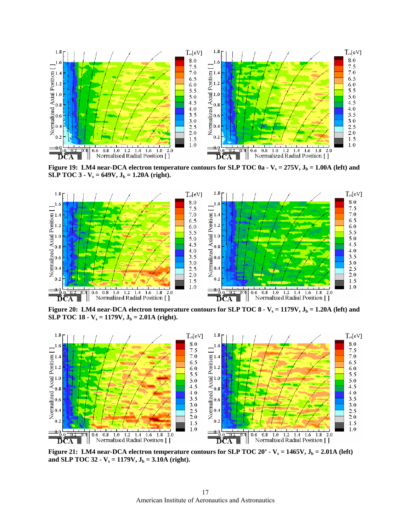<span id="page-16-0"></span>

**Figure 19:** LM4 near-DCA electron temperature contours for SLP TOC 0a -  $V_s = 275V$ ,  $J_b = 1.00A$  (left) and **SLP TOC 3 -**  $V_s = 649V, J_b = 1.20A$  **(right).** 



**Figure 20:** LM4 near-DCA electron temperature contours for SLP TOC  $8 - V_s = 1179V$ ,  $J_b = 1.20A$  (left) and **SLP TOC 18 - V**<sub>s</sub> = 1179V,  $J_b$  = 2.01A (right).



**Figure 21:** LM4 near-DCA electron temperature contours for SLP TOC 20' -  $V_s = 1465V$ ,  $J_b = 2.01A$  (left) and SLP TOC 32  $\text{-}$  V<sub>s</sub> = 1179V, J<sub>b</sub> = 3.10A (right).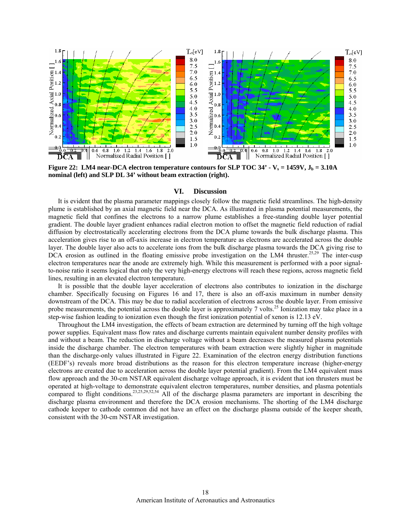<span id="page-17-1"></span>

<span id="page-17-0"></span>**nominal (left)** and SLP DL 34' without beam extraction (right). **Figure 22: LM4 near-DCA electron temperature contours for SLP TOC 34' -**  $V_s = 1459V$ **,**  $J_b = 3.10A$ 

## **VI. Discussion**

It is evident that the plasma parameter mappings closely follow the magnetic field streamlines. The high-density plume is established by an axial magnetic field near the DCA. As illustrated in plasma potential measurements, the magnetic field that confines the electrons to a narrow plume establishes a free-standing double layer potential gradient. The double layer gradient enhances radial electron motion to offset the magnetic field reduction of radial diffusion by electrostatically accelerating electrons from the DCA plume towards the bulk discharge plasma. This acceleration gives rise to an off-axis increase in electron temperature as electrons are accelerated across the double layer. The double layer also acts to accelerate ions from the bulk discharge plasma towards the DCA giving rise to DCA erosion as outlined in the floating emissive probe investigation on the LM4 thruster.<sup>25,29</sup> The inter-cusp electron temperatures near the anode are extremely high. While this measurement is performed with a poor signalto-noise ratio it seems logical that only the very high-energy electrons will reach these regions, across magnetic field lines, resulting in an elevated electron temperature.

It is possible that the double layer acceleration of electrons also contributes to ionization in the discharge chamber. Specifically focusing on Figures [16](#page-14-1) and [17](#page-15-1), there is also an off-axis maximum in number density downstream of the DCA. This may be due to radial acceleration of electrons across the double layer. From emissive step-wise fashion leading to ionization even though the first ionization potential of xenon is 12.13 eV. probe measurements, the potential across the double layer is approximately 7 volts.<sup>25</sup> Ionization may take place in a

Throughout the LM4 investigation, the effects of beam extraction are determined by turning off the high voltage power supplies. Equivalent mass flow rates and discharge currents maintain equivalent number density profiles with and without a beam. The reduction in discharge voltage without a beam decreases the measured plasma potentials inside the discharge chamber. The electron temperatures with beam extraction were slightly higher in magnitude than the discharge-only values illustrated in [Figure 22.](#page-17-1) Examination of the electron energy distribution functions (EEDF's) reveals more broad distributions as the reason for this electron temperature increase (higher-energy electrons are created due to acceleration across the double layer potential gradient). From the LM4 equivalent mass flow approach and the 30-cm NSTAR equivalent discharge voltage approach, it is evident that ion thrusters must be operated at high-voltage to demonstrate equivalent electron temperatures, number densities, and plasma potentials compared to flight conditions.<sup>23,25,29,52,54</sup> All of the discharge plasma parameters are important in describing the discharge plasma environment and therefore the DCA erosion mechanisms. The shorting of the LM4 discharge cathode keeper to cathode common did not have an effect on the discharge plasma outside of the keeper sheath, consistent with the 30-cm NSTAR investigation.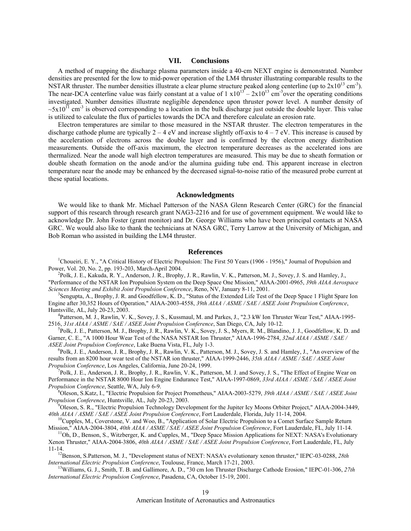# **VII. Conclusions**

A method of mapping the discharge plasma parameters inside a 40-cm NEXT engine is demonstrated. Number densities are presented for the low to mid-power operation of the LM4 thruster illustrating comparable results to the NSTAR thruster. The number densities illustrate a clear plume structure peaked along centerline (up to  $2x10^{13}$  cm<sup>-3</sup>). The near-DCA centerline value was fairly constant at a value of  $1 \times 10^{13} - 2 \times 10^{13}$  cm<sup>-3</sup>over the operating conditions investigated. Number densities illustrate negligible dependence upon thruster power level. A number density of  $\sim 5x10^{11}$  cm<sup>-3</sup> is observed corresponding to a location in the bulk discharge just outside the double layer. This value is utilized to calculate the flux of particles towards the DCA and therefore calculate an erosion rate.

Electron temperatures are similar to those measured in the NSTAR thruster. The electron temperatures in the discharge cathode plume are typically  $2 - 4$  eV and increase slightly off-axis to  $4 - 7$  eV. This increase is caused by the acceleration of electrons across the double layer and is confirmed by the electron energy distribution measurements. Outside the off-axis maximum, the electron temperature decreases as the accelerated ions are thermalized. Near the anode wall high electron temperatures are measured. This may be due to sheath formation or double sheath formation on the anode and/or the alumina guiding tube end. This apparent increase in electron temperature near the anode may be enhanced by the decreased signal-to-noise ratio of the measured probe current at these spatial locations.

# **s Acknowledgment**

We would like to thank Mr. Michael Patterson of the NASA Glenn Research Center (GRC) for the financial support of this research through research grant NAG3-2216 and for use of government equipment. We would like to acknowledge Dr. John Foster (grant monitor) and Dr. George Williams who have been principal contacts at NASA GRC. We would also like to thank the technicians at NASA GRC, Terry Larrow at the University of Michigan, and Bob Roman who assisted in building the LM4 thruster.

## **References**

<sup>1</sup>Choueiri, E. Y., "A Critical History of Electric Propulsion: The First 50 Years (1906 - 1956)," Journal of Propulsion and Power, Vol. 20, No. 2, pp. 193-203, March-April 2004. 2

<sup>2</sup>Polk, J. E., Kakuda, R. Y., Anderson, J. R., Brophy, J. R., Rawlin, V. K., Patterson, M. J., Sovey, J. S. and Hamley, J., "Performance of the NSTAR Ion Propulsion System on the Deep Space One Mission," AIAA-2001-0965, *39th AIAA Aerospace Sciences Meeting and Exhibit Joint Propulsion Conference*, Reno, NV, January 8-11, 2001.

Sengupta, A., Brophy, J. R. and Goodfellow, K. D., "Status of the Extended Life Test of the Deep Space 1 Flight Spare Ion Engine after 30,352 Hours of Operation," AIAA-2003-4558, *39th AIAA / ASME / SAE / ASEE Joint Propulsion Conference*, Huntsville, AL, July 20-23, 2003. 4

Patterson, M. J., Rawlin, V. K., Sovey, J. S., Kussmaul, M. and Parkes, J., "2.3 kW Ion Thruster Wear Test," AIAA-1995-251 6, *31st AIAA / ASME / SAE / ASEE Joint Propulsion Conference*, San Diego, CA, July 10-12. 5

 ${}^5P$ Olk, J. E., Patterson, M. J., Brophy, J. R., Rawlin, V. K., Sovey, J. S., Myers, R. M., Blandino, J. J., Goodfellow, K. D. and Garner, C. E., "A 1000 Hour Wear Test of the NASA NSTAR Ion Thruster," AIAA-1996-2784, *32nd AIAA / ASME / SAE / ASEE Joint Propulsion Conference*, Lake Buena Vista, FL, July 1-3. 6

 ${}^{6}P$ olk, J. E., Anderson, J. R., Brophy, J. R., Rawlin, V. K., Patterson, M. J., Sovey, J. S. and Hamley, J., "An overview of the results from an 8200 hour wear test of the NSTAR ion thruster," AIAA-1999-2446, *35th AIAA / ASME / SAE / ASEE Joint Propulsion Conference*, Los Angeles, California, June 20-24, 1999.

Polk, J. E., Anderson, J. R., Brophy, J. R., Rawlin, V. K., Patterson, M. J. and Sovey, J. S., "The Effect of Engine Wear on Performance in the NSTAR 8000 Hour Ion Engine Endurance Test," AIAA-1997-0869, *33rd AIAA / ASME / SAE / ASEE Joint Propulsion Conference*, Seattle, WA, July 6-9.

Oleson, S.Katz, I., "Electric Propulsion for Project Prometheus," AIAA-2003-5279, *39th AIAA / ASME / SAE / ASEE Joint Propulsion Conference*, Huntsville, AL, July 20-23, 2003.

40th AIAA / ASME / SAE / ASEE Joint Propulsion Conference, Fort Lauderdale, Florida, July 11-14, 2004.<br><sup>10</sup>Cupples, M., Coverstone, V. and Woo, B., "Application of Solar Electric Propulsion to a Comet Surface Sample Retur <sup>9</sup> Oleson, S. R., "Electric Propulsion Technology Development for the Jupiter Icy Moons Orbiter Project," AIAA-2004-3449,  $40th AIAA / ASME / SAE / ASEE$  Joint Propulsion Conference, Fort Lauderdale, Florida, July 11-14, 2004.

<sup>11</sup>Oh, D., Benson, S., Witzberger, K. and Cupples, M., "Deep Space Mission Applications for NEXT: NASA's Evolutionary Xenon Thruster," AIAA-2004-3806, *40th AIAA / ASME / SAE / ASEE Joint Propulsion Conference*, Fort Lauderdale, FL, July

11-14. 12Benson, S.Patterson, M. J., "Development status of NEXT: NASA's evolutionary xenon thruster," IEPC-03-0288, *28th International Electric Propulsion Conference*, Toulouse, France, March 17-21, 2003.<br><sup>13</sup>Williams, G. J., Smith, T. B. and Gallimore, A. D., "30 cm Ion Thruster Discharge Cathode Erosion," IEPC-01-306, 27th

*International Electric Propulsion Conference*, Pasadena, CA, October 15-19, 2001.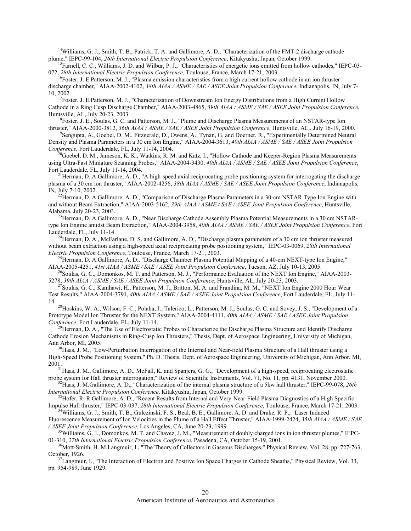$14$ Williams, G. J., Smith, T. B., Patrick, T. A. and Gallimore, A. D., "Characterization of the FMT-2 discharge cathode plume," IEPC-99-104, 26th International Electric Propulsion Conference, Kitakyushu, Japan, October 1999.<br><sup>15</sup> Ferrell, C. C. Williams, J. D. and Wilbur, B. J. "Characteristics of aperastic ions emitted from hollow

 $^{15}$ Farnell, C. C., Williams, J. D. and Wilbur, P. J., "Characteristics of energetic ions emitted from hollow cathodes," IEPC-03-072, 28th International Electric Propulsion Conference, Toulouse, France, March 17-21, 2003.<br><sup>16</sup>Foster, J. E.Patterson, M. J., "Plasma emission characteristics from a high current hollow cathode in an ion thruster

discharge chamber," AIAA-2002-4102, *38th AIAA / ASME / SAE / ASEE Joint Propulsion Conference*, Indianapolis, IN, July 7- 10, 2002.<br><sup>17</sup>Foster, J. E.Patterson, M. J., "Characterization of Downstream Ion Energy Distributions from a High Current Hollow

Cathode in a Ring Cusp Discharge Chamber," AIAA-2003-4865, *39th AIAA / ASME / SAE / ASEE Joint Propulsion Conference*,

 $^{18}$ Foster, J. E., Soulas, G. C. and Patterson, M. J., "Plume and Discharge Plasma Measurements of an NSTAR-type Ion thruster," AIAA-2000-3812, 36th AIAA / ASME / SAE / ASEE Joint Propulsion Conference, Huntsville, AL., July 16-19, 2000.<br><sup>19</sup>Sengupta, A., Goebel, D. M., Fitzgerald, D., Owens, A., Tynan, G. and Doerner, R., "Experimentall

Density and Plasma Parameters in a 30 cm Ion Engine," AIAA-2004-3613, *40th AIAA / ASME / SAE / ASEE Joint Propulsion* 

*Conference*, Fort Lauderdale, FL, July 11-14, 2004.<br><sup>20</sup>Goebel, D. M., Jameson, K. K., Watkins, R. M. and Katz, I., "Hollow Cathode and Keeper-Region Plasma Measurements using Ultra-Fast Miniature Scanning Probes," AIAA-2004-3430, 40th AIAA / ASME / SAE / ASEE Joint Propulsion Conference, Fort Lauderdale, FL, July 11-14, 2004.

plasma of a 30 cm ion thruster," AIAA-2002-4256, 38th AIAA / ASME / SAE / ASEE Joint Propulsion Conference, Indianapolis, IN, July 7-10, 2002.<br><sup>22</sup>Herman, D. A.Gallimore, A. D., "Comparison of Discharge Plasma Parameters in a 30-cm NSTAR Type Ion Engine with  $^{21}$ Herman, D. A.Gallimore, A. D., "A high-speed axial reciprocating probe positioning system for interrogating the discharge

and without Beam Extraction," AIAA-2003-5162, *39th AIAA / ASME / SAE / ASEE Joint Propulsion Conference*, Huntsville, Alabama, July 20-23, 2003. 23Herman, D. A.Gallimore, A. D., "Near Discharge Cathode Assembly Plasma Potential Measurements in a 30 cm NSTAR-

type Ion Engine amidst Beam Extraction," AIAA-2004-3958, *40th AIAA / ASME / SAE / ASEE Joint Propulsion Conference*, Fort

Lauderdale, FL, July 11-14.<br><sup>24</sup>Herman, D. A., McFarlane, D. S. and Gallimore, A. D., "Discharge plasma parameters of a 30 cm ion thruster measured without beam extraction using a high-speed axial reciprocating probe positioning system," IEPC-03-0069, 28th International *Electric Propulsion Conference*, Toulouse, France, Marc

<sup>25</sup>Herman, D. A.Gallimore, A. D., "Discharge Chamber Plasma Potential Mapping of a 40-cm NEXT-type Ion Engine,"

AIAA-2005-4251, 41st AIAA / ASME / SAE / ASEE Joint Propulsion Conference, Tucson, AZ, July 10-13, 2005.<br><sup>26</sup>Soulas, G. C., Domonkos, M. T. and Patterson, M. J., "Performance Evaluation of the NEXT Ion Engine," AIAA-2003-5278, 39th AIAA / ASME / SAE / ASEE Joint Propulsion Conference, Huntsville, AL, July 20-23, 2003.<br><sup>27</sup>Soulas, G. C., Kamhawi, H., Patterson, M. J., Britton, M. A. and Frandina, M. M., "NEXT Ion Engine 2000 Hour Wear

Test Results," AIAA-2004-3791, *40th AIAA / ASME / SAE / ASEE Joint Propulsion Conference*, Fort Lauderdale, FL, July 11-

14. <sup>28</sup>Hoskins, W. A., Wilson, F. C., Polaha, J., Talerico, L., Patterson, M. J., Soulas, G. C. and Sovey, J. S., "Development of a Prototype Model Ion Thruster for the NEXT System," AIAA-2004-4111, *40th AIAA / ASME / SAE / ASEE Joint Propulsion* 

*Conference*, Fort Lauderdale, Fig. 1, 1994. In Fig. 1, 2014. 2014. 2014 of the Discharge Plasma Structure and Identify Discharge Plasma, D. A., "The Use of Electrostatic Probes to Characterize the Discharge Plasma Structu Cathode Erosion Mechanisms in Ring-Cusp Ion Thrusters," Thesis, Dept. of Aerospace Engineering, University of Michigan, Ann Arbor, MI, 2005.<br><sup>30</sup>Haas, J. M., "Low-Perturbation Interrogation of the Internal and Near-field Plasma Structure of a Hall thruster using a

High-Speed Probe Positioning System," Ph. D. Thesis, Dept. of Aerospace Engineering, University of Michigan, Ann Arbor, MI, 2001. 31Haas, J. M., Gallimore, A. D., McFall, K. and Spanjers, G. G., "Development of a high-speed, reciprocating electrostatic

probe system for Hall thruster interrogation," Review of Scientific Instruments, Vol. 71, No. 11, pp. 4131, November 2000.<br><sup>32</sup>Haas, J. M.Gallimore, A. D., "Characterization of the internal plasma structure of a 5kw hall t

*International Electric Propulsion Conference*, Kitakyushu, Japan, October 1999.<br><sup>33</sup>Hofer, R. R.Gallimore, A. D., "Recent Results from Internal and Very-Near-Field Plasma Diagnostics of a High Specific

Impulse Hall thruster," IEPC-03-037, 28th International Electric Propulsion Conference, Toulouse, France, March 17-21, 2003.<br><sup>34</sup>Williams, G. J., Smith, T. B., Gulczinski, F. S., Beal, B. E., Gallimore, A. D. and Drake, R.

*AE*  Fluorescence Measurement of Ion Velocities in the Plume of a Hall Effect Thruster," AIAA-1999-2424, *35th AIAA / ASME / S / ASEE Joint Propulsion Conference*, Los Angeles, CA, June 20-23, 1999. 35Williams, G. J., Domonkos, M. T. and Chavez, J. M., "Measurement of doubly charged ions in ion thruster plumes," IEPC-

October, 1926.<br><sup>37</sup>Langmuir, I., "The Interaction of Electron and Positive Ion Space Charges in Cathode Sheaths," Physical Review, Vol. 33, 01-310, *27th International Electric Propulsion Conference*, Pasadena, CA, October 15-19, 2001.<br><sup>36</sup>Mott-Smith, H. M.Langmuir, I., "The Theory of Collectors in Gaseous Discharges," Physical Review, Vol. 28, pp. 727-763, Oc

pp. 954-989, June 1929.